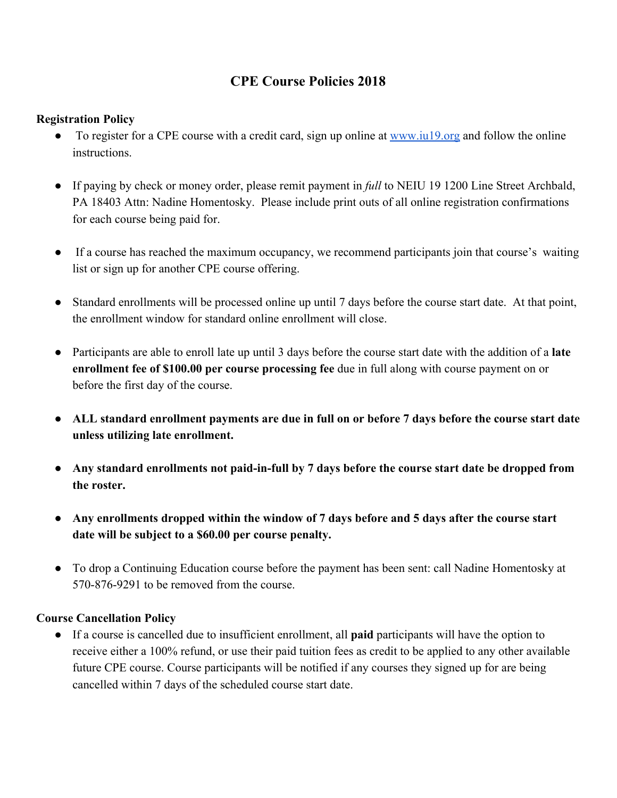# **CPE Course Policies 2018**

## **Registration Policy**

- To register for a CPE course with a credit card, sign up online at [www.iu19.org](http://www.iu19.org/) and follow the online **instructions**
- If paying by check or money order, please remit payment in *full* to NEIU 19 1200 Line Street Archbald, PA 18403 Attn: Nadine Homentosky. Please include print outs of all online registration confirmations for each course being paid for.
- If a course has reached the maximum occupancy, we recommend participants join that course's waiting list or sign up for another CPE course offering.
- Standard enrollments will be processed online up until 7 days before the course start date. At that point, the enrollment window for standard online enrollment will close.
- Participants are able to enroll late up until 3 days before the course start date with the addition of a **late enrollment fee of \$100.00 per course processing fee** due in full along with course payment on or before the first day of the course.
- **● ALL standard enrollment payments are due in full on or before 7 days before the course start date unless utilizing late enrollment.**
- **● Any standard enrollments not paid-in-full by 7 days before the course start date be dropped from the roster.**
- **● Any enrollments dropped within the window of 7 days before and 5 days after the course start date will be subject to a \$60.00 per course penalty.**
- To drop a Continuing Education course before the payment has been sent: call Nadine Homentosky at 570-876-9291 to be removed from the course.

### **Course Cancellation Policy**

● If a course is cancelled due to insufficient enrollment, all **paid** participants will have the option to receive either a 100% refund, or use their paid tuition fees as credit to be applied to any other available future CPE course. Course participants will be notified if any courses they signed up for are being cancelled within 7 days of the scheduled course start date.